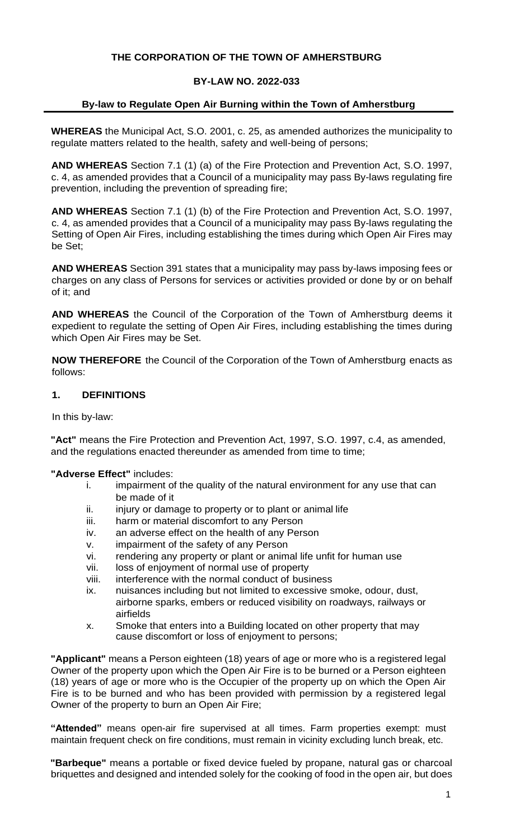# **THE CORPORATION OF THE TOWN OF AMHERSTBURG**

## **BY-LAW NO. 2022-033**

## **By-law to Regulate Open Air Burning within the Town of Amherstburg**

**WHEREAS** the Municipal Act, S.O. 2001, c. 25, as amended authorizes the municipality to regulate matters related to the health, safety and well-being of persons;

**AND WHEREAS** Section 7.1 (1) (a) of the Fire Protection and Prevention Act, S.O. 1997, c. 4, as amended provides that a Council of a municipality may pass By-laws regulating fire prevention, including the prevention of spreading fire;

**AND WHEREAS** Section 7.1 (1) (b) of the Fire Protection and Prevention Act, S.O. 1997, c. 4, as amended provides that a Council of a municipality may pass By-laws regulating the Setting of Open Air Fires, including establishing the times during which Open Air Fires may be Set;

**AND WHEREAS** Section 391 states that a municipality may pass by-laws imposing fees or charges on any class of Persons for services or activities provided or done by or on behalf of it; and

**AND WHEREAS** the Council of the Corporation of the Town of Amherstburg deems it expedient to regulate the setting of Open Air Fires, including establishing the times during which Open Air Fires may be Set.

**NOW THEREFORE** the Council of the Corporation of the Town of Amherstburg enacts as follows:

### **1. DEFINITIONS**

In this by-law:

**"Act"** means the Fire Protection and Prevention Act, 1997, S.O. 1997, c.4, as amended, and the regulations enacted thereunder as amended from time to time;

### **"Adverse Effect"** includes:

- i. impairment of the quality of the natural environment for any use that can be made of it
- ii. injury or damage to property or to plant or animal life
- iii. harm or material discomfort to any Person
- iv. an adverse effect on the health of any Person
- v. impairment of the safety of any Person
- vi. rendering any property or plant or animal life unfit for human use
- vii. loss of enjoyment of normal use of property
- viii. interference with the normal conduct of business
- ix. nuisances including but not limited to excessive smoke, odour, dust, airborne sparks, embers or reduced visibility on roadways, railways or airfields
- x. Smoke that enters into a Building located on other property that may cause discomfort or loss of enjoyment to persons;

**"Applicant"** means a Person eighteen (18) years of age or more who is a registered legal Owner of the property upon which the Open Air Fire is to be burned or a Person eighteen (18) years of age or more who is the Occupier of the property up on which the Open Air Fire is to be burned and who has been provided with permission by a registered legal Owner of the property to burn an Open Air Fire;

**"Attended"** means open-air fire supervised at all times. Farm properties exempt: must maintain frequent check on fire conditions, must remain in vicinity excluding lunch break, etc.

**"Barbeque"** means a portable or fixed device fueled by propane, natural gas or charcoal briquettes and designed and intended solely for the cooking of food in the open air, but does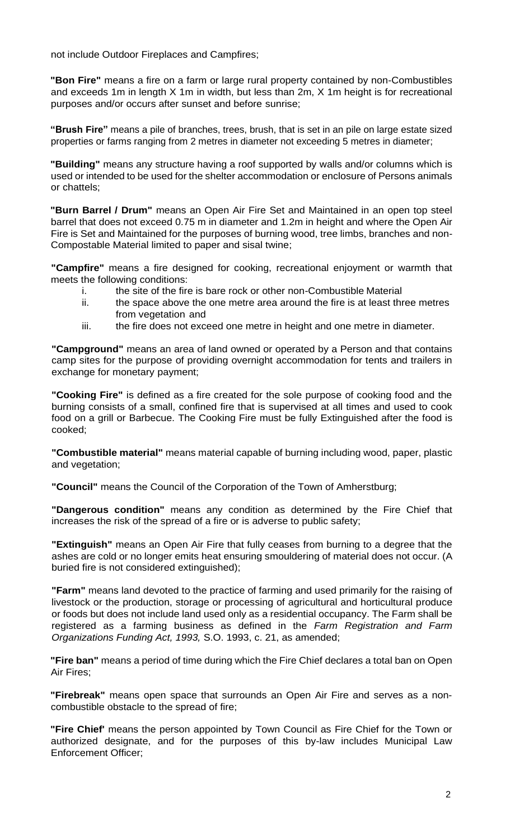not include Outdoor Fireplaces and Campfires;

**"Bon Fire"** means a fire on a farm or large rural property contained by non-Combustibles and exceeds 1m in length X 1m in width, but less than 2m, X 1m height is for recreational purposes and/or occurs after sunset and before sunrise;

**"Brush Fire"** means a pile of branches, trees, brush, that is set in an pile on large estate sized properties or farms ranging from 2 metres in diameter not exceeding 5 metres in diameter;

**"Building"** means any structure having a roof supported by walls and/or columns which is used or intended to be used for the shelter accommodation or enclosure of Persons animals or chattels;

**"Burn Barrel / Drum"** means an Open Air Fire Set and Maintained in an open top steel barrel that does not exceed 0.75 m in diameter and 1.2m in height and where the Open Air Fire is Set and Maintained for the purposes of burning wood, tree limbs, branches and non-Compostable Material limited to paper and sisal twine;

**"Campfire"** means a fire designed for cooking, recreational enjoyment or warmth that meets the following conditions:

- i. the site of the fire is bare rock or other non-Combustible Material
- ii. the space above the one metre area around the fire is at least three metres from vegetation and
- iii. the fire does not exceed one metre in height and one metre in diameter.

**"Campground"** means an area of land owned or operated by a Person and that contains camp sites for the purpose of providing overnight accommodation for tents and trailers in exchange for monetary payment;

**"Cooking Fire"** is defined as a fire created for the sole purpose of cooking food and the burning consists of a small, confined fire that is supervised at all times and used to cook food on a grill or Barbecue. The Cooking Fire must be fully Extinguished after the food is cooked;

**"Combustible material"** means material capable of burning including wood, paper, plastic and vegetation;

**"Council"** means the Council of the Corporation of the Town of Amherstburg;

**"Dangerous condition"** means any condition as determined by the Fire Chief that increases the risk of the spread of a fire or is adverse to public safety;

**"Extinguish"** means an Open Air Fire that fully ceases from burning to a degree that the ashes are cold or no longer emits heat ensuring smouldering of material does not occur. (A buried fire is not considered extinguished);

**"Farm"** means land devoted to the practice of farming and used primarily for the raising of livestock or the production, storage or processing of agricultural and horticultural produce or foods but does not include land used only as a residential occupancy. The Farm shall be registered as a farming business as defined in the *Farm Registration and Farm Organizations Funding Act, 1993,* S.O. 1993, c. 21, as amended;

**"Fire ban"** means a period of time during which the Fire Chief declares a total ban on Open Air Fires;

**"Firebreak"** means open space that surrounds an Open Air Fire and serves as a noncombustible obstacle to the spread of fire;

**"Fire Chief'** means the person appointed by Town Council as Fire Chief for the Town or authorized designate, and for the purposes of this by-law includes Municipal Law Enforcement Officer;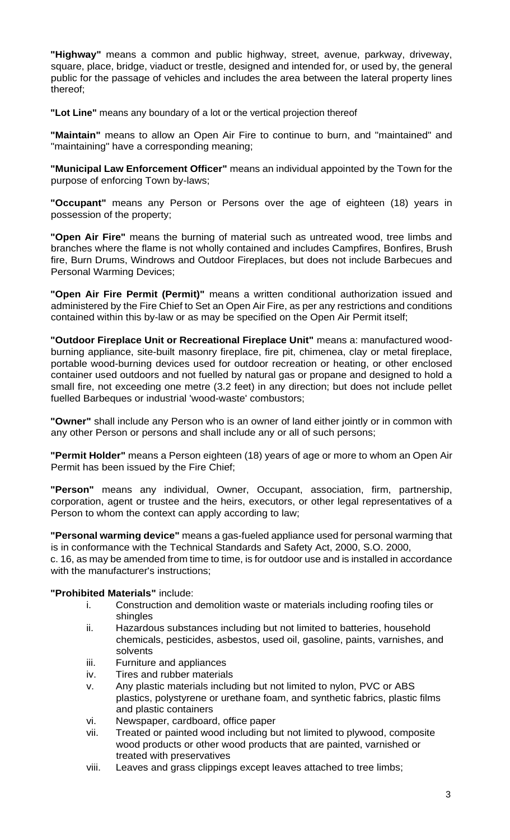**"Highway"** means a common and public highway, street, avenue, parkway, driveway, square, place, bridge, viaduct or trestle, designed and intended for, or used by, the general public for the passage of vehicles and includes the area between the lateral property lines thereof;

**"Lot Line"** means any boundary of a lot or the vertical projection thereof

**"Maintain"** means to allow an Open Air Fire to continue to burn, and "maintained" and "maintaining" have a corresponding meaning;

**"Municipal Law Enforcement Officer"** means an individual appointed by the Town for the purpose of enforcing Town by-laws;

**"Occupant"** means any Person or Persons over the age of eighteen (18) years in possession of the property;

**"Open Air Fire"** means the burning of material such as untreated wood, tree limbs and branches where the flame is not wholly contained and includes Campfires, Bonfires, Brush fire, Burn Drums, Windrows and Outdoor Fireplaces, but does not include Barbecues and Personal Warming Devices;

**"Open Air Fire Permit (Permit)"** means a written conditional authorization issued and administered by the Fire Chief to Set an Open Air Fire, as per any restrictions and conditions contained within this by-law or as may be specified on the Open Air Permit itself;

**"Outdoor Fireplace Unit or Recreational Fireplace Unit"** means a: manufactured woodburning appliance, site-built masonry fireplace, fire pit, chimenea, clay or metal fireplace, portable wood-burning devices used for outdoor recreation or heating, or other enclosed container used outdoors and not fuelled by natural gas or propane and designed to hold a small fire, not exceeding one metre (3.2 feet) in any direction; but does not include pellet fuelled Barbeques or industrial 'wood-waste' combustors;

**"Owner"** shall include any Person who is an owner of land either jointly or in common with any other Person or persons and shall include any or all of such persons;

**"Permit Holder"** means a Person eighteen (18) years of age or more to whom an Open Air Permit has been issued by the Fire Chief;

**"Person"** means any individual, Owner, Occupant, association, firm, partnership, corporation, agent or trustee and the heirs, executors, or other legal representatives of a Person to whom the context can apply according to law;

**"Personal warming device"** means a gas-fueled appliance used for personal warming that is in conformance with the Technical Standards and Safety Act, 2000, S.O. 2000, c. 16, as may be amended from time to time, is for outdoor use and is installed in accordance with the manufacturer's instructions;

# **"Prohibited Materials"** include:

- i. Construction and demolition waste or materials including roofing tiles or shingles
- ii. Hazardous substances including but not limited to batteries, household chemicals, pesticides, asbestos, used oil, gasoline, paints, varnishes, and solvents
- iii. Furniture and appliances
- iv. Tires and rubber materials
- v. Any plastic materials including but not limited to nylon, PVC or ABS plastics, polystyrene or urethane foam, and synthetic fabrics, plastic films and plastic containers
- vi. Newspaper, cardboard, office paper
- vii. Treated or painted wood including but not limited to plywood, composite wood products or other wood products that are painted, varnished or treated with preservatives
- viii. Leaves and grass clippings except leaves attached to tree limbs;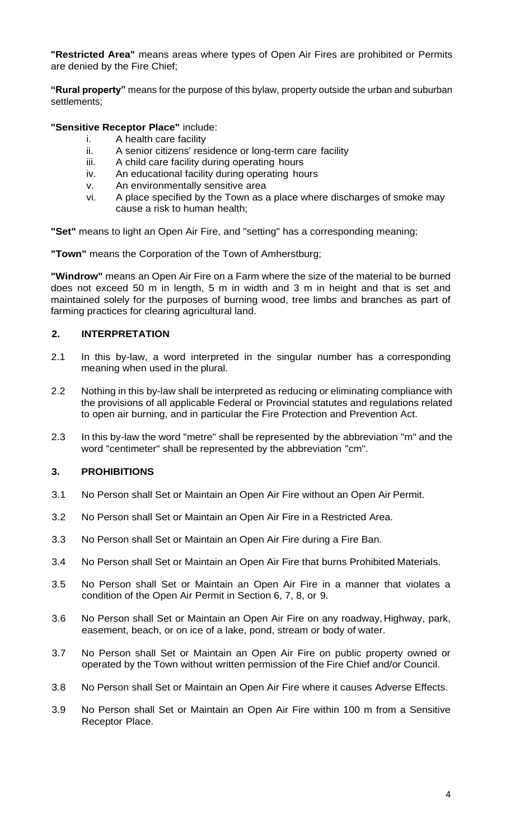**"Restricted Area"** means areas where types of Open Air Fires are prohibited or Permits are denied by the Fire Chief;

**"Rural property"** means for the purpose of this bylaw, property outside the urban and suburban settlements;

**"Sensitive Receptor Place"** include:

- i. A health care facility
- ii. A senior citizens' residence or long-term care facility
- iii. A child care facility during operating hours
- iv. An educational facility during operating hours
- v. An environmentally sensitive area
- vi. A place specified by the Town as a place where discharges of smoke may cause a risk to human health;

**"Set"** means to light an Open Air Fire, and "setting" has a corresponding meaning;

**"Town"** means the Corporation of the Town of Amherstburg;

**"Windrow"** means an Open Air Fire on a Farm where the size of the material to be burned does not exceed 50 m in length, 5 m in width and 3 m in height and that is set and maintained solely for the purposes of burning wood, tree limbs and branches as part of farming practices for clearing agricultural land.

# **2. INTERPRETATION**

- 2.1 In this by-law, a word interpreted in the singular number has a corresponding meaning when used in the plural.
- 2.2 Nothing in this by-law shall be interpreted as reducing or eliminating compliance with the provisions of all applicable Federal or Provincial statutes and regulations related to open air burning, and in particular the Fire Protection and Prevention Act.
- 2.3 In this by-law the word "metre" shall be represented by the abbreviation "m" and the word "centimeter" shall be represented by the abbreviation "cm".

# **3. PROHIBITIONS**

- 3.1 No Person shall Set or Maintain an Open Air Fire without an Open Air Permit.
- 3.2 No Person shall Set or Maintain an Open Air Fire in a Restricted Area.
- 3.3 No Person shall Set or Maintain an Open Air Fire during a Fire Ban.
- 3.4 No Person shall Set or Maintain an Open Air Fire that burns Prohibited Materials.
- 3.5 No Person shall Set or Maintain an Open Air Fire in a manner that violates a condition of the Open Air Permit in Section 6, 7, 8, or 9.
- 3.6 No Person shall Set or Maintain an Open Air Fire on any roadway, Highway, park, easement, beach, or on ice of a lake, pond, stream or body of water.
- 3.7 No Person shall Set or Maintain an Open Air Fire on public property owned or operated by the Town without written permission of the Fire Chief and/or Council.
- 3.8 No Person shall Set or Maintain an Open Air Fire where it causes Adverse Effects.
- 3.9 No Person shall Set or Maintain an Open Air Fire within 100 m from a Sensitive Receptor Place.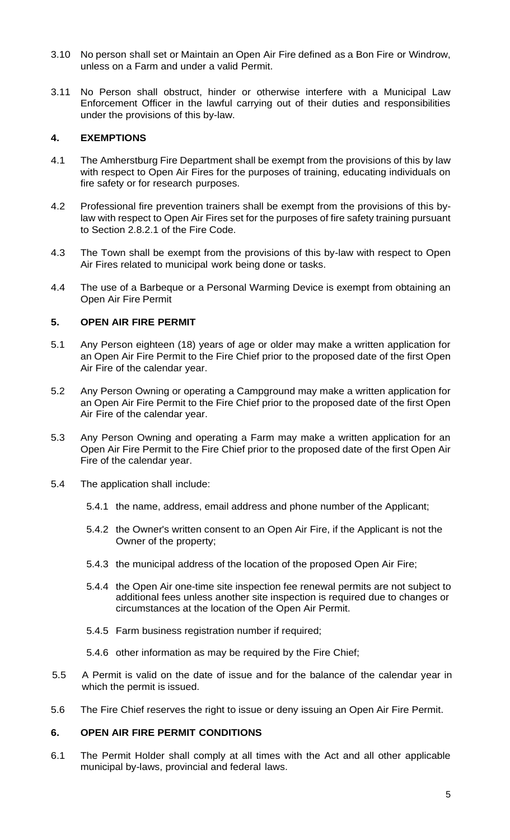- 3.10 No person shall set or Maintain an Open Air Fire defined as a Bon Fire or Windrow, unless on a Farm and under a valid Permit.
- 3.11 No Person shall obstruct, hinder or otherwise interfere with a Municipal Law Enforcement Officer in the lawful carrying out of their duties and responsibilities under the provisions of this by-law.

### **4. EXEMPTIONS**

- 4.1 The Amherstburg Fire Department shall be exempt from the provisions of this by law with respect to Open Air Fires for the purposes of training, educating individuals on fire safety or for research purposes.
- 4.2 Professional fire prevention trainers shall be exempt from the provisions of this bylaw with respect to Open Air Fires set for the purposes of fire safety training pursuant to Section 2.8.2.1 of the Fire Code.
- 4.3 The Town shall be exempt from the provisions of this by-law with respect to Open Air Fires related to municipal work being done or tasks.
- 4.4 The use of a Barbeque or a Personal Warming Device is exempt from obtaining an Open Air Fire Permit

# **5. OPEN AIR FIRE PERMIT**

- 5.1 Any Person eighteen (18) years of age or older may make a written application for an Open Air Fire Permit to the Fire Chief prior to the proposed date of the first Open Air Fire of the calendar year.
- 5.2 Any Person Owning or operating a Campground may make a written application for an Open Air Fire Permit to the Fire Chief prior to the proposed date of the first Open Air Fire of the calendar year.
- 5.3 Any Person Owning and operating a Farm may make a written application for an Open Air Fire Permit to the Fire Chief prior to the proposed date of the first Open Air Fire of the calendar year.
- 5.4 The application shall include:
	- 5.4.1 the name, address, email address and phone number of the Applicant;
	- 5.4.2 the Owner's written consent to an Open Air Fire, if the Applicant is not the Owner of the property;
	- 5.4.3 the municipal address of the location of the proposed Open Air Fire;
	- 5.4.4 the Open Air one-time site inspection fee renewal permits are not subject to additional fees unless another site inspection is required due to changes or circumstances at the location of the Open Air Permit.
	- 5.4.5 Farm business registration number if required;
	- 5.4.6 other information as may be required by the Fire Chief;
- 5.5 A Permit is valid on the date of issue and for the balance of the calendar year in which the permit is issued.
- 5.6 The Fire Chief reserves the right to issue or deny issuing an Open Air Fire Permit.

### **6. OPEN AIR FIRE PERMIT CONDITIONS**

6.1 The Permit Holder shall comply at all times with the Act and all other applicable municipal by-laws, provincial and federal laws.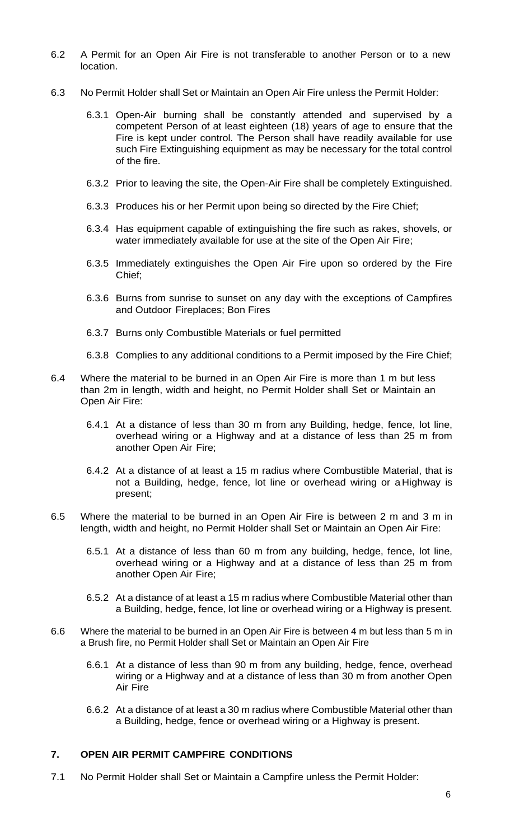- 6.2 A Permit for an Open Air Fire is not transferable to another Person or to a new location.
- 6.3 No Permit Holder shall Set or Maintain an Open Air Fire unless the Permit Holder:
	- 6.3.1 Open-Air burning shall be constantly attended and supervised by a competent Person of at least eighteen (18) years of age to ensure that the Fire is kept under control. The Person shall have readily available for use such Fire Extinguishing equipment as may be necessary for the total control of the fire.
	- 6.3.2 Prior to leaving the site, the Open-Air Fire shall be completely Extinguished.
	- 6.3.3 Produces his or her Permit upon being so directed by the Fire Chief;
	- 6.3.4 Has equipment capable of extinguishing the fire such as rakes, shovels, or water immediately available for use at the site of the Open Air Fire;
	- 6.3.5 Immediately extinguishes the Open Air Fire upon so ordered by the Fire Chief;
	- 6.3.6 Burns from sunrise to sunset on any day with the exceptions of Campfires and Outdoor Fireplaces; Bon Fires
	- 6.3.7 Burns only Combustible Materials or fuel permitted
	- 6.3.8 Complies to any additional conditions to a Permit imposed by the Fire Chief;
- 6.4 Where the material to be burned in an Open Air Fire is more than 1 m but less than 2m in length, width and height, no Permit Holder shall Set or Maintain an Open Air Fire:
	- 6.4.1 At a distance of less than 30 m from any Building, hedge, fence, lot line, overhead wiring or a Highway and at a distance of less than 25 m from another Open Air Fire;
	- 6.4.2 At a distance of at least a 15 m radius where Combustible Material, that is not a Building, hedge, fence, lot line or overhead wiring or a Highway is present;
- 6.5 Where the material to be burned in an Open Air Fire is between 2 m and 3 m in length, width and height, no Permit Holder shall Set or Maintain an Open Air Fire:
	- 6.5.1 At a distance of less than 60 m from any building, hedge, fence, lot line, overhead wiring or a Highway and at a distance of less than 25 m from another Open Air Fire;
	- 6.5.2 At a distance of at least a 15 m radius where Combustible Material other than a Building, hedge, fence, lot line or overhead wiring or a Highway is present.
- 6.6 Where the material to be burned in an Open Air Fire is between 4 m but less than 5 m in a Brush fire, no Permit Holder shall Set or Maintain an Open Air Fire
	- 6.6.1 At a distance of less than 90 m from any building, hedge, fence, overhead wiring or a Highway and at a distance of less than 30 m from another Open Air Fire
	- 6.6.2 At a distance of at least a 30 m radius where Combustible Material other than a Building, hedge, fence or overhead wiring or a Highway is present.

#### **7. OPEN AIR PERMIT CAMPFIRE CONDITIONS**

7.1 No Permit Holder shall Set or Maintain a Campfire unless the Permit Holder: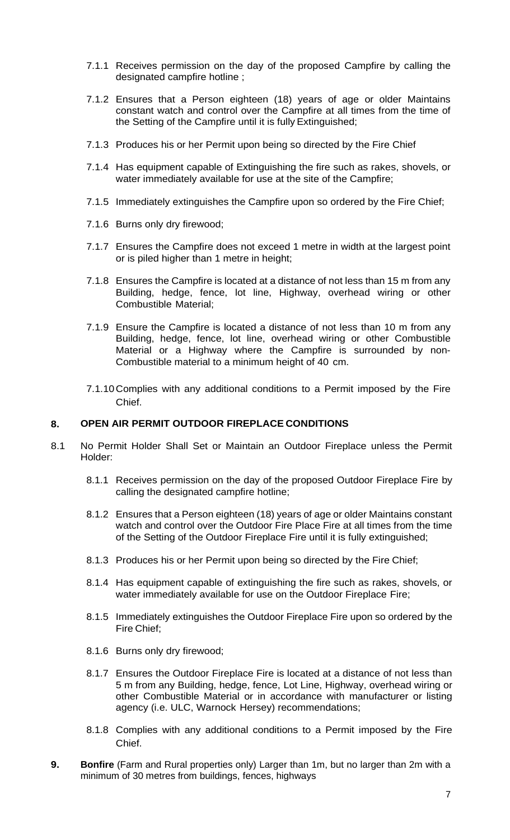- 7.1.1 Receives permission on the day of the proposed Campfire by calling the designated campfire hotline ;
- 7.1.2 Ensures that a Person eighteen (18) years of age or older Maintains constant watch and control over the Campfire at all times from the time of the Setting of the Campfire until it is fully Extinguished;
- 7.1.3 Produces his or her Permit upon being so directed by the Fire Chief
- 7.1.4 Has equipment capable of Extinguishing the fire such as rakes, shovels, or water immediately available for use at the site of the Campfire;
- 7.1.5 Immediately extinguishes the Campfire upon so ordered by the Fire Chief;
- 7.1.6 Burns only dry firewood;
- 7.1.7 Ensures the Campfire does not exceed 1 metre in width at the largest point or is piled higher than 1 metre in height;
- 7.1.8 Ensures the Campfire is located at a distance of not less than 15 m from any Building, hedge, fence, lot line, Highway, overhead wiring or other Combustible Material;
- 7.1.9 Ensure the Campfire is located a distance of not less than 10 m from any Building, hedge, fence, lot line, overhead wiring or other Combustible Material or a Highway where the Campfire is surrounded by non-Combustible material to a minimum height of 40 cm.
- 7.1.10 Complies with any additional conditions to a Permit imposed by the Fire Chief.

#### **8. OPEN AIR PERMIT OUTDOOR FIREPLACE CONDITIONS**

- 8.1 No Permit Holder Shall Set or Maintain an Outdoor Fireplace unless the Permit Holder:
	- 8.1.1 Receives permission on the day of the proposed Outdoor Fireplace Fire by calling the designated campfire hotline;
	- 8.1.2 Ensures that a Person eighteen (18) years of age or older Maintains constant watch and control over the Outdoor Fire Place Fire at all times from the time of the Setting of the Outdoor Fireplace Fire until it is fully extinguished;
	- 8.1.3 Produces his or her Permit upon being so directed by the Fire Chief;
	- 8.1.4 Has equipment capable of extinguishing the fire such as rakes, shovels, or water immediately available for use on the Outdoor Fireplace Fire;
	- 8.1.5 Immediately extinguishes the Outdoor Fireplace Fire upon so ordered by the Fire Chief;
	- 8.1.6 Burns only dry firewood;
	- 8.1.7 Ensures the Outdoor Fireplace Fire is located at a distance of not less than 5 m from any Building, hedge, fence, Lot Line, Highway, overhead wiring or other Combustible Material or in accordance with manufacturer or listing agency (i.e. ULC, Warnock Hersey) recommendations;
	- 8.1.8 Complies with any additional conditions to a Permit imposed by the Fire Chief.
- **9. Bonfire** (Farm and Rural properties only) Larger than 1m, but no larger than 2m with a minimum of 30 metres from buildings, fences, highways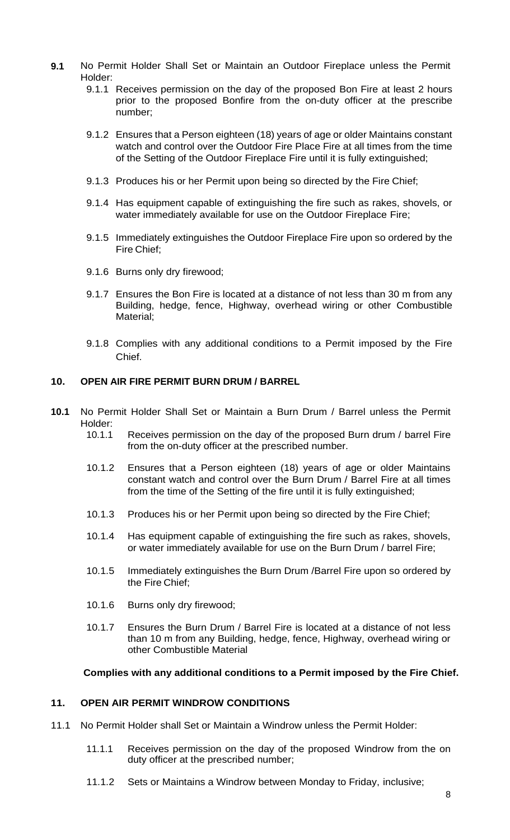- **9.1** No Permit Holder Shall Set or Maintain an Outdoor Fireplace unless the Permit Holder:
	- 9.1.1 Receives permission on the day of the proposed Bon Fire at least 2 hours prior to the proposed Bonfire from the on-duty officer at the prescribe number;
	- 9.1.2 Ensures that a Person eighteen (18) years of age or older Maintains constant watch and control over the Outdoor Fire Place Fire at all times from the time of the Setting of the Outdoor Fireplace Fire until it is fully extinguished;
	- 9.1.3 Produces his or her Permit upon being so directed by the Fire Chief;
	- 9.1.4 Has equipment capable of extinguishing the fire such as rakes, shovels, or water immediately available for use on the Outdoor Fireplace Fire;
	- 9.1.5 Immediately extinguishes the Outdoor Fireplace Fire upon so ordered by the Fire Chief;
	- 9.1.6 Burns only dry firewood;
	- 9.1.7 Ensures the Bon Fire is located at a distance of not less than 30 m from any Building, hedge, fence, Highway, overhead wiring or other Combustible Material;
	- 9.1.8 Complies with any additional conditions to a Permit imposed by the Fire Chief.

### **10. OPEN AIR FIRE PERMIT BURN DRUM / BARREL**

- **10.1** No Permit Holder Shall Set or Maintain a Burn Drum / Barrel unless the Permit Holder:<br>10.1.1
	- Receives permission on the day of the proposed Burn drum / barrel Fire from the on-duty officer at the prescribed number.
	- 10.1.2 Ensures that a Person eighteen (18) years of age or older Maintains constant watch and control over the Burn Drum / Barrel Fire at all times from the time of the Setting of the fire until it is fully extinguished;
	- 10.1.3 Produces his or her Permit upon being so directed by the Fire Chief;
	- 10.1.4 Has equipment capable of extinguishing the fire such as rakes, shovels, or water immediately available for use on the Burn Drum / barrel Fire;
	- 10.1.5 Immediately extinguishes the Burn Drum /Barrel Fire upon so ordered by the Fire Chief;
	- 10.1.6 Burns only dry firewood;
	- 10.1.7 Ensures the Burn Drum / Barrel Fire is located at a distance of not less than 10 m from any Building, hedge, fence, Highway, overhead wiring or other Combustible Material

### **Complies with any additional conditions to a Permit imposed by the Fire Chief.**

### **11. OPEN AIR PERMIT WINDROW CONDITIONS**

- 11.1 No Permit Holder shall Set or Maintain a Windrow unless the Permit Holder:
	- 11.1.1 Receives permission on the day of the proposed Windrow from the on duty officer at the prescribed number;
	- 11.1.2 Sets or Maintains a Windrow between Monday to Friday, inclusive;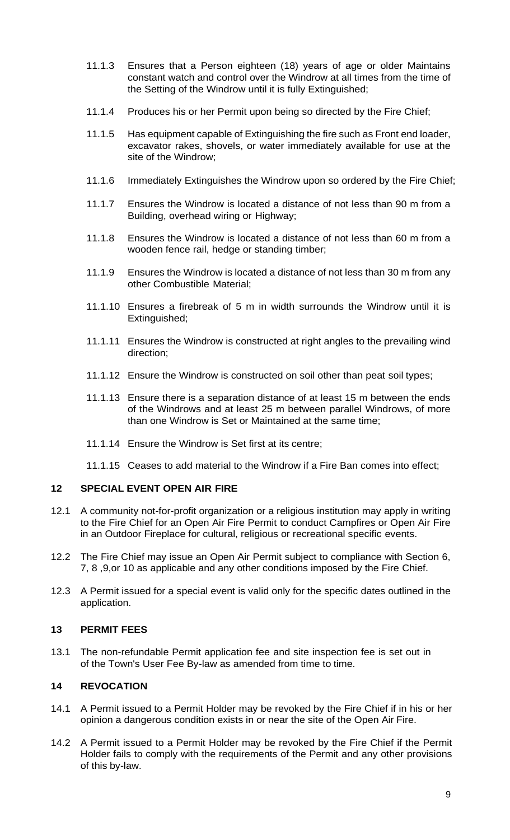- 11.1.3 Ensures that a Person eighteen (18) years of age or older Maintains constant watch and control over the Windrow at all times from the time of the Setting of the Windrow until it is fully Extinguished;
- 11.1.4 Produces his or her Permit upon being so directed by the Fire Chief;
- 11.1.5 Has equipment capable of Extinguishing the fire such as Front end loader, excavator rakes, shovels, or water immediately available for use at the site of the Windrow;
- 11.1.6 Immediately Extinguishes the Windrow upon so ordered by the Fire Chief;
- 11.1.7 Ensures the Windrow is located a distance of not less than 90 m from a Building, overhead wiring or Highway;
- 11.1.8 Ensures the Windrow is located a distance of not less than 60 m from a wooden fence rail, hedge or standing timber;
- 11.1.9 Ensures the Windrow is located a distance of not less than 30 m from any other Combustible Material;
- 11.1.10 Ensures a firebreak of 5 m in width surrounds the Windrow until it is Extinguished;
- 11.1.11 Ensures the Windrow is constructed at right angles to the prevailing wind direction;
- 11.1.12 Ensure the Windrow is constructed on soil other than peat soil types;
- 11.1.13 Ensure there is a separation distance of at least 15 m between the ends of the Windrows and at least 25 m between parallel Windrows, of more than one Windrow is Set or Maintained at the same time;
- 11.1.14 Ensure the Windrow is Set first at its centre;
- 11.1.15 Ceases to add material to the Windrow if a Fire Ban comes into effect;

# **12 SPECIAL EVENT OPEN AIR FIRE**

- 12.1 A community not-for-profit organization or a religious institution may apply in writing to the Fire Chief for an Open Air Fire Permit to conduct Campfires or Open Air Fire in an Outdoor Fireplace for cultural, religious or recreational specific events.
- 12.2 The Fire Chief may issue an Open Air Permit subject to compliance with Section 6, 7, 8 ,9,or 10 as applicable and any other conditions imposed by the Fire Chief.
- 12.3 A Permit issued for a special event is valid only for the specific dates outlined in the application.

### **13 PERMIT FEES**

13.1 The non-refundable Permit application fee and site inspection fee is set out in of the Town's User Fee By-law as amended from time to time.

# **14 REVOCATION**

- 14.1 A Permit issued to a Permit Holder may be revoked by the Fire Chief if in his or her opinion a dangerous condition exists in or near the site of the Open Air Fire.
- 14.2 A Permit issued to a Permit Holder may be revoked by the Fire Chief if the Permit Holder fails to comply with the requirements of the Permit and any other provisions of this by-law.